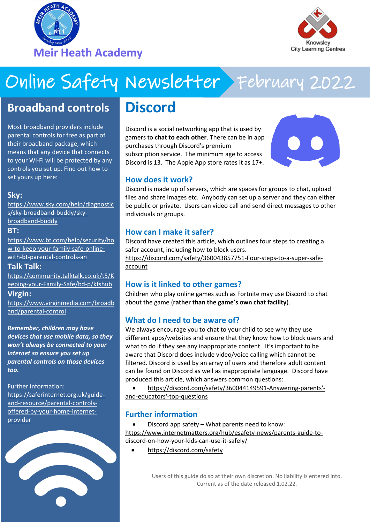



# Online Safety Newsletter February 2022

## **Broadband controls**

Most broadband providers include parental controls for free as part of their broadband package, which means that any device that connects to your Wi-Fi will be protected by any controls you set up. Find out how to set yours up here:

### **Sky:**

[https://www.sky.com/help/diagnostic](https://www.sky.com/help/diagnostics/sky-broadband-buddy/sky-broadband-buddy) [s/sky-broadband-buddy/sky](https://www.sky.com/help/diagnostics/sky-broadband-buddy/sky-broadband-buddy)[broadband-buddy](https://www.sky.com/help/diagnostics/sky-broadband-buddy/sky-broadband-buddy)

#### **BT:**

[https://www.bt.com/help/security/ho](https://www.bt.com/help/security/how-to-keep-your-family-safe-online-with-bt-parental-controls-an) [w-to-keep-your-family-safe-online](https://www.bt.com/help/security/how-to-keep-your-family-safe-online-with-bt-parental-controls-an)[with-bt-parental-controls-an](https://www.bt.com/help/security/how-to-keep-your-family-safe-online-with-bt-parental-controls-an)

### **Talk Talk:**

[https://community.talktalk.co.uk/t5/K](https://community.talktalk.co.uk/t5/Keeping-your-Family-Safe/bd-p/kfshub) [eeping-your-Family-Safe/bd-p/kfshub](https://community.talktalk.co.uk/t5/Keeping-your-Family-Safe/bd-p/kfshub)

### **Virgin:**

[https://www.virginmedia.com/broadb](https://www.virginmedia.com/broadband/parental-control) [and/parental-control](https://www.virginmedia.com/broadband/parental-control)

*Remember, children may have devices that use mobile data, so they won't always be connected to your internet so ensure you set up parental controls on those devices too.*

Further information: [https://saferinternet.org.uk/guide](https://saferinternet.org.uk/guide-and-resource/parental-controls-offered-by-your-home-internet-provider)[and-resource/parental-controls](https://saferinternet.org.uk/guide-and-resource/parental-controls-offered-by-your-home-internet-provider)[offered-by-your-home-internet](https://saferinternet.org.uk/guide-and-resource/parental-controls-offered-by-your-home-internet-provider)[provider](https://saferinternet.org.uk/guide-and-resource/parental-controls-offered-by-your-home-internet-provider)



## **Discord**

Discord is a social networking app that is used by gamers to **chat to each other**. There can be in app purchases through Discord's premium subscription service. The minimum age to access Discord is 13. The Apple App store rates it as 17+.



### **How does it work?**

Discord is made up of servers, which are spaces for groups to chat, upload files and share images etc. Anybody can set up a server and they can either be public or private. Users can video call and send direct messages to other individuals or groups.

### **How can I make it safer?**

Discord have created this article, which outlines four steps to creating a safer account, including how to block users.

[https://discord.com/safety/360043857751-Four-steps-to-a-super-safe](https://discord.com/safety/360043857751-Four-steps-to-a-super-safe-account)[account](https://discord.com/safety/360043857751-Four-steps-to-a-super-safe-account)

### **How is it linked to other games?**

Children who play online games such as Fortnite may use Discord to chat about the game (**rather than the game's own chat facility**).

### **What do I need to be aware of?**

We always encourage you to chat to your child to see why they use different apps/websites and ensure that they know how to block users and what to do if they see any inappropriate content. It's important to be aware that Discord does include video/voice calling which cannot be filtered. Discord is used by an array of users and therefore adult content can be found on Discord as well as inappropriate language. Discord have produced this article, which answers common questions:

 [https://discord.com/safety/360044149591-Answering-parents'](https://discord.com/safety/360044149591-Answering-parents) [and-educators'-top-questions](https://discord.com/safety/360044149591-Answering-parents) 

### **Further information**

 Discord app safety – What parents need to know: [https://www.internetmatters.org/hub/esafety-news/parents-guide-to](https://www.internetmatters.org/hub/esafety-news/parents-guide-to-discord-on-how-your-kids-can-use-it-safely/)[discord-on-how-your-kids-can-use-it-safely/](https://www.internetmatters.org/hub/esafety-news/parents-guide-to-discord-on-how-your-kids-can-use-it-safely/)

<https://discord.com/safety>

Users of this guide do so at their own discretion. No liability is entered into. Current as of the date released 1.02.22.